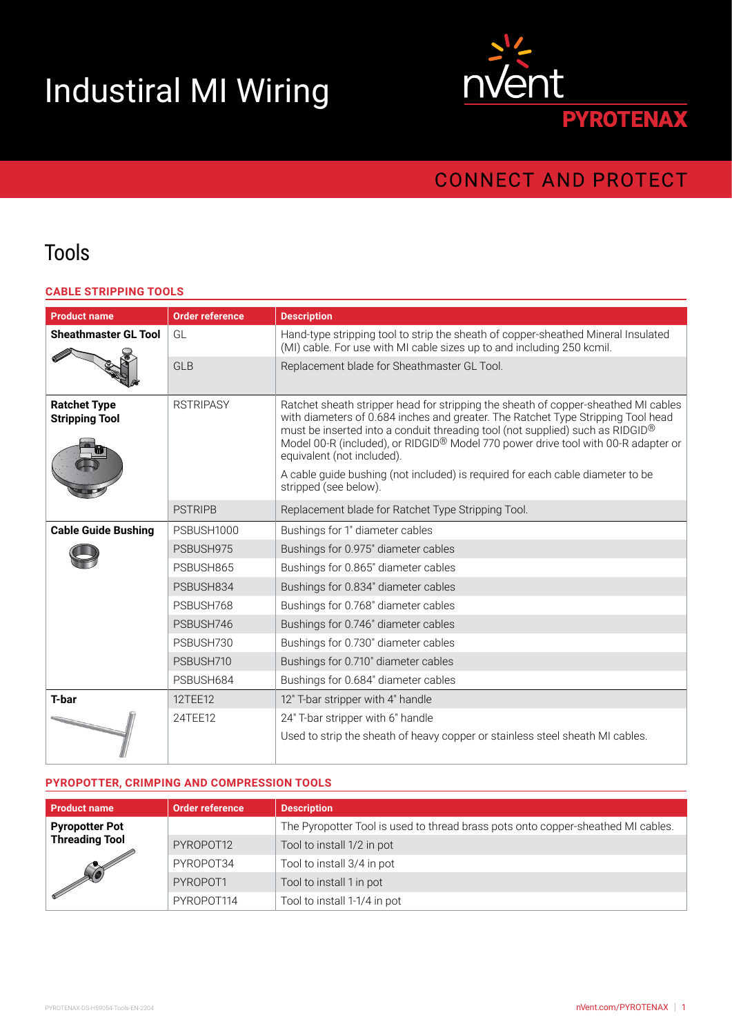# Industiral MI Wiring



## **CONNECT AND PROTECT**

## Tools

#### **CABLE STRIPPING TOOLS**

| <b>Product name</b>                          | <b>Order reference</b> | <b>Description</b>                                                                                                                                                                                                                                                                                                                                                                                                                                                                    |
|----------------------------------------------|------------------------|---------------------------------------------------------------------------------------------------------------------------------------------------------------------------------------------------------------------------------------------------------------------------------------------------------------------------------------------------------------------------------------------------------------------------------------------------------------------------------------|
| <b>Sheathmaster GL Tool</b>                  | GL                     | Hand-type stripping tool to strip the sheath of copper-sheathed Mineral Insulated<br>(MI) cable. For use with MI cable sizes up to and including 250 kcmil.                                                                                                                                                                                                                                                                                                                           |
|                                              | <b>GLB</b>             | Replacement blade for Sheathmaster GL Tool.                                                                                                                                                                                                                                                                                                                                                                                                                                           |
| <b>Ratchet Type</b><br><b>Stripping Tool</b> | <b>RSTRIPASY</b>       | Ratchet sheath stripper head for stripping the sheath of copper-sheathed MI cables<br>with diameters of 0.684 inches and greater. The Ratchet Type Stripping Tool head<br>must be inserted into a conduit threading tool (not supplied) such as RIDGID®<br>Model 00-R (included), or RIDGID® Model 770 power drive tool with 00-R adapter or<br>equivalent (not included).<br>A cable guide bushing (not included) is required for each cable diameter to be<br>stripped (see below). |
|                                              | <b>PSTRIPB</b>         | Replacement blade for Ratchet Type Stripping Tool.                                                                                                                                                                                                                                                                                                                                                                                                                                    |
| <b>Cable Guide Bushing</b>                   | PSBUSH1000             | Bushings for 1" diameter cables                                                                                                                                                                                                                                                                                                                                                                                                                                                       |
|                                              | PSBUSH975              | Bushings for 0.975" diameter cables                                                                                                                                                                                                                                                                                                                                                                                                                                                   |
|                                              | PSBUSH865              | Bushings for 0.865" diameter cables                                                                                                                                                                                                                                                                                                                                                                                                                                                   |
|                                              | PSBUSH834              | Bushings for 0.834" diameter cables                                                                                                                                                                                                                                                                                                                                                                                                                                                   |
|                                              | PSBUSH768              | Bushings for 0.768" diameter cables                                                                                                                                                                                                                                                                                                                                                                                                                                                   |
|                                              | PSBUSH746              | Bushings for 0.746" diameter cables                                                                                                                                                                                                                                                                                                                                                                                                                                                   |
|                                              | PSBUSH730              | Bushings for 0.730" diameter cables                                                                                                                                                                                                                                                                                                                                                                                                                                                   |
|                                              | PSBUSH710              | Bushings for 0.710" diameter cables                                                                                                                                                                                                                                                                                                                                                                                                                                                   |
|                                              | PSBUSH684              | Bushings for 0.684" diameter cables                                                                                                                                                                                                                                                                                                                                                                                                                                                   |
| <b>T-bar</b>                                 | 12TEE12                | 12" T-bar stripper with 4" handle                                                                                                                                                                                                                                                                                                                                                                                                                                                     |
|                                              | 24TEE12                | 24" T-bar stripper with 6" handle<br>Used to strip the sheath of heavy copper or stainless steel sheath MI cables.                                                                                                                                                                                                                                                                                                                                                                    |

#### **PYROPOTTER, CRIMPING AND COMPRESSION TOOLS**

| <b>Product name</b>                                                 | <b>Order reference</b> | <b>Description</b>                                                               |
|---------------------------------------------------------------------|------------------------|----------------------------------------------------------------------------------|
| <b>Pyropotter Pot</b><br><b>Threading Tool</b><br><b>CONTROLLER</b> |                        | The Pyropotter Tool is used to thread brass pots onto copper-sheathed MI cables. |
|                                                                     | PYROPOT12              | Tool to install 1/2 in pot                                                       |
|                                                                     | PYROPOT34              | Tool to install 3/4 in pot                                                       |
|                                                                     | PYROPOT1               | Tool to install 1 in pot                                                         |
|                                                                     | PYROPOT114             | Tool to install 1-1/4 in pot                                                     |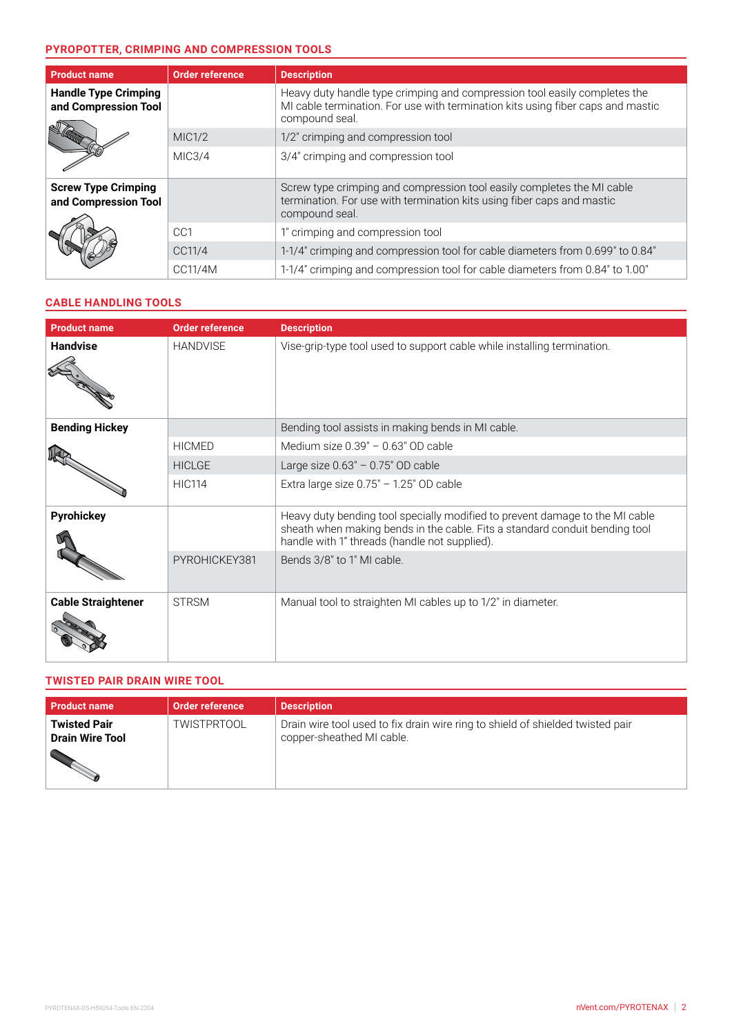#### **PYROPOTTER, CRIMPING AND COMPRESSION TOOLS**

| <b>Product name</b>                                 | <b>Order reference</b> | <b>Description</b>                                                                                                                                                             |
|-----------------------------------------------------|------------------------|--------------------------------------------------------------------------------------------------------------------------------------------------------------------------------|
| <b>Handle Type Crimping</b><br>and Compression Tool |                        | Heavy duty handle type crimping and compression tool easily completes the<br>MI cable termination. For use with termination kits using fiber caps and mastic<br>compound seal. |
|                                                     | MIC1/2                 | 1/2" crimping and compression tool                                                                                                                                             |
|                                                     | MIC3/4                 | 3/4" crimping and compression tool                                                                                                                                             |
| <b>Screw Type Crimping</b><br>and Compression Tool  |                        | Screw type crimping and compression tool easily completes the MI cable<br>termination. For use with termination kits using fiber caps and mastic<br>compound seal.             |
|                                                     | CC <sub>1</sub>        | 1" crimping and compression tool                                                                                                                                               |
|                                                     | CC11/4                 | 1-1/4" crimping and compression tool for cable diameters from 0.699" to 0.84"                                                                                                  |
|                                                     | CC11/4M                | 1-1/4" crimping and compression tool for cable diameters from 0.84" to 1.00"                                                                                                   |

#### **CABLE HANDLING TOOLS**

| <b>Product name</b>       | <b>Order reference</b> | <b>Description</b>                                                                                                                                                                                           |
|---------------------------|------------------------|--------------------------------------------------------------------------------------------------------------------------------------------------------------------------------------------------------------|
| <b>Handvise</b>           | <b>HANDVISE</b>        | Vise-grip-type tool used to support cable while installing termination.                                                                                                                                      |
| <b>Bending Hickey</b>     |                        | Bending tool assists in making bends in MI cable.                                                                                                                                                            |
|                           | <b>HICMED</b>          | Medium size $0.39" - 0.63"$ OD cable                                                                                                                                                                         |
|                           | <b>HICLGE</b>          | Large size $0.63" - 0.75"$ OD cable                                                                                                                                                                          |
|                           | <b>HIC114</b>          | Extra large size $0.75" - 1.25"$ OD cable                                                                                                                                                                    |
| <b>Pyrohickey</b>         |                        | Heavy duty bending tool specially modified to prevent damage to the MI cable<br>sheath when making bends in the cable. Fits a standard conduit bending tool<br>handle with 1" threads (handle not supplied). |
|                           | PYROHICKEY381          | Bends 3/8" to 1" MI cable.                                                                                                                                                                                   |
| <b>Cable Straightener</b> | <b>STRSM</b>           | Manual tool to straighten MI cables up to 1/2" in diameter.                                                                                                                                                  |

#### **TWISTED PAIR DRAIN WIRE TOOL**

| <b>Product name</b>                           | Order reference    | <b>Description</b>                                                                                          |
|-----------------------------------------------|--------------------|-------------------------------------------------------------------------------------------------------------|
| <b>Twisted Pair</b><br><b>Drain Wire Tool</b> | <b>TWISTPRTOOL</b> | Drain wire tool used to fix drain wire ring to shield of shielded twisted pair<br>copper-sheathed MI cable. |